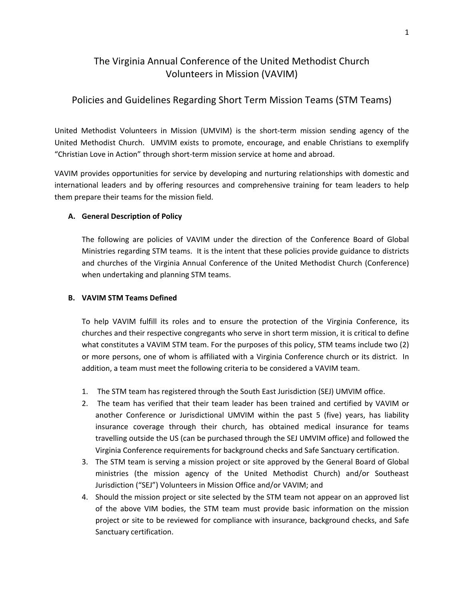# The Virginia Annual Conference of the United Methodist Church Volunteers in Mission (VAVIM)

## Policies and Guidelines Regarding Short Term Mission Teams (STM Teams)

United Methodist Volunteers in Mission (UMVIM) is the short-term mission sending agency of the United Methodist Church. UMVIM exists to promote, encourage, and enable Christians to exemplify "Christian Love in Action" through short-term mission service at home and abroad.

VAVIM provides opportunities for service by developing and nurturing relationships with domestic and international leaders and by offering resources and comprehensive training for team leaders to help them prepare their teams for the mission field.

#### **A. General Description of Policy**

The following are policies of VAVIM under the direction of the Conference Board of Global Ministries regarding STM teams. It is the intent that these policies provide guidance to districts and churches of the Virginia Annual Conference of the United Methodist Church (Conference) when undertaking and planning STM teams.

#### **B. VAVIM STM Teams Defined**

To help VAVIM fulfill its roles and to ensure the protection of the Virginia Conference, its churches and their respective congregants who serve in short term mission, it is critical to define what constitutes a VAVIM STM team. For the purposes of this policy, STM teams include two (2) or more persons, one of whom is affiliated with a Virginia Conference church or its district. In addition, a team must meet the following criteria to be considered a VAVIM team.

- 1. The STM team has registered through the South East Jurisdiction (SEJ) UMVIM office.
- 2. The team has verified that their team leader has been trained and certified by VAVIM or another Conference or Jurisdictional UMVIM within the past 5 (five) years, has liability insurance coverage through their church, has obtained medical insurance for teams travelling outside the US (can be purchased through the SEJ UMVIM office) and followed the Virginia Conference requirements for background checks and Safe Sanctuary certification.
- 3. The STM team is serving a mission project or site approved by the General Board of Global ministries (the mission agency of the United Methodist Church) and/or Southeast Jurisdiction ("SEJ") Volunteers in Mission Office and/or VAVIM; and
- 4. Should the mission project or site selected by the STM team not appear on an approved list of the above VIM bodies, the STM team must provide basic information on the mission project or site to be reviewed for compliance with insurance, background checks, and Safe Sanctuary certification.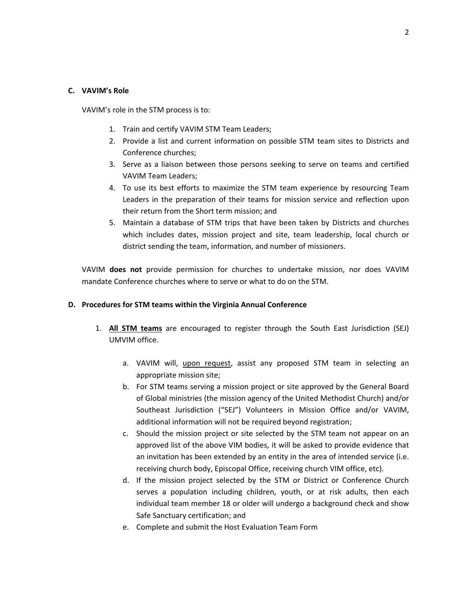#### **C. VAVIM's Role**

VAVIM's role in the STM process is to:

- 1. Train and certify VAVIM STM Team Leaders;
- 2. Provide a list and current information on possible STM team sites to Districts and Conference churches;
- 3. Serve as a liaison between those persons seeking to serve on teams and certified VAVIM Team Leaders;
- 4. To use its best efforts to maximize the STM team experience by resourcing Team Leaders in the preparation of their teams for mission service and reflection upon their return from the Short term mission; and
- 5. Maintain a database of STM trips that have been taken by Districts and churches which includes dates, mission project and site, team leadership, local church or district sending the team, information, and number of missioners.

VAVIM **does not** provide permission for churches to undertake mission, nor does VAVIM mandate Conference churches where to serve or what to do on the STM.

#### **D. Procedures for STM teams within the Virginia Annual Conference**

- 1. **All STM teams** are encouraged to register through the South East Jurisdiction (SEJ) UMVIM office.
	- a. VAVIM will, upon request, assist any proposed STM team in selecting an appropriate mission site;
	- b. For STM teams serving a mission project or site approved by the General Board of Global ministries (the mission agency of the United Methodist Church) and/or Southeast Jurisdiction ("SEJ") Volunteers in Mission Office and/or VAVIM, additional information will not be required beyond registration;
	- c. Should the mission project or site selected by the STM team not appear on an approved list of the above VIM bodies, it will be asked to provide evidence that an invitation has been extended by an entity in the area of intended service (i.e. receiving church body, Episcopal Office, receiving church VIM office, etc).
	- d. If the mission project selected by the STM or District or Conference Church serves a population including children, youth, or at risk adults, then each individual team member 18 or older will undergo a background check and show Safe Sanctuary certification; and
	- e. Complete and submit the Host Evaluation Team Form